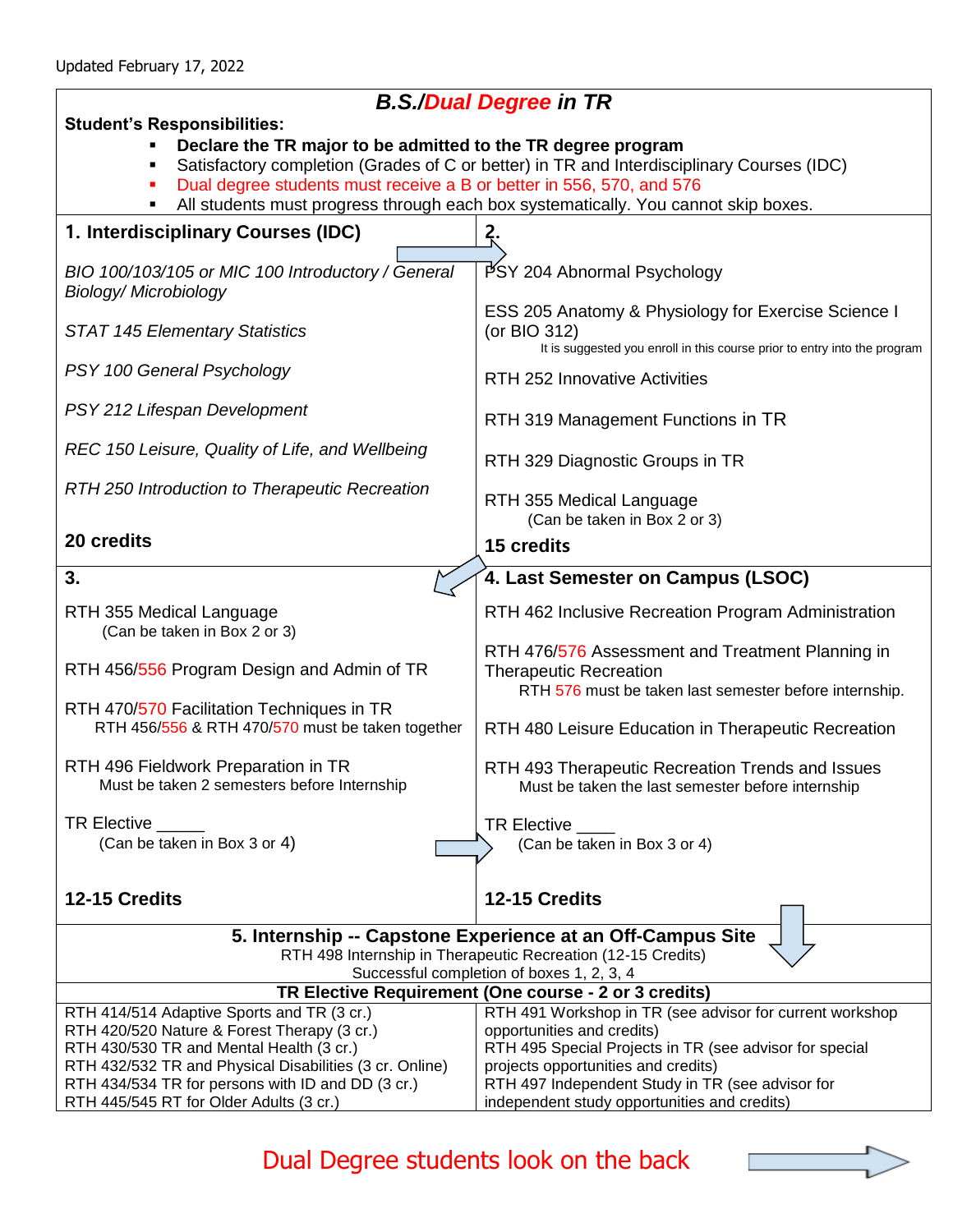$\overline{\Gamma}$ 

## *B.S./Dual Degree in TR*

| ייי ייי שטישע וויטיש וויט<br><b>Student's Responsibilities:</b>                                                                                                 |                                                                                                                                                  |
|-----------------------------------------------------------------------------------------------------------------------------------------------------------------|--------------------------------------------------------------------------------------------------------------------------------------------------|
| Declare the TR major to be admitted to the TR degree program                                                                                                    |                                                                                                                                                  |
| Satisfactory completion (Grades of C or better) in TR and Interdisciplinary Courses (IDC)                                                                       |                                                                                                                                                  |
| Dual degree students must receive a B or better in 556, 570, and 576<br>All students must progress through each box systematically. You cannot skip boxes.<br>٠ |                                                                                                                                                  |
|                                                                                                                                                                 |                                                                                                                                                  |
| 1. Interdisciplinary Courses (IDC)                                                                                                                              | Ş.                                                                                                                                               |
| BIO 100/103/105 or MIC 100 Introductory / General<br><b>Biology/Microbiology</b>                                                                                | PSY 204 Abnormal Psychology                                                                                                                      |
| <b>STAT 145 Elementary Statistics</b>                                                                                                                           | ESS 205 Anatomy & Physiology for Exercise Science I<br>(or BIO 312)<br>It is suggested you enroll in this course prior to entry into the program |
| PSY 100 General Psychology                                                                                                                                      | <b>RTH 252 Innovative Activities</b>                                                                                                             |
| PSY 212 Lifespan Development                                                                                                                                    | RTH 319 Management Functions in TR                                                                                                               |
| REC 150 Leisure, Quality of Life, and Wellbeing                                                                                                                 | RTH 329 Diagnostic Groups in TR                                                                                                                  |
| RTH 250 Introduction to Therapeutic Recreation                                                                                                                  | RTH 355 Medical Language<br>(Can be taken in Box 2 or 3)                                                                                         |
| 20 credits                                                                                                                                                      | <b>15 credits</b>                                                                                                                                |
| 3.                                                                                                                                                              | 4. Last Semester on Campus (LSOC)                                                                                                                |
|                                                                                                                                                                 |                                                                                                                                                  |
| RTH 355 Medical Language<br>(Can be taken in Box 2 or 3)                                                                                                        | RTH 462 Inclusive Recreation Program Administration                                                                                              |
| RTH 456/556 Program Design and Admin of TR                                                                                                                      | RTH 476/576 Assessment and Treatment Planning in<br><b>Therapeutic Recreation</b><br>RTH 576 must be taken last semester before internship.      |
| RTH 470/570 Facilitation Techniques in TR<br>RTH 456/556 & RTH 470/570 must be taken together                                                                   | RTH 480 Leisure Education in Therapeutic Recreation                                                                                              |
| RTH 496 Fieldwork Preparation in TR<br>Must be taken 2 semesters before Internship                                                                              | RTH 493 Therapeutic Recreation Trends and Issues<br>Must be taken the last semester before internship                                            |
| TR Elective                                                                                                                                                     | TR Elective __                                                                                                                                   |
| (Can be taken in Box 3 or 4)                                                                                                                                    | (Can be taken in Box 3 or 4)                                                                                                                     |
|                                                                                                                                                                 |                                                                                                                                                  |
| 12-15 Credits                                                                                                                                                   | 12-15 Credits                                                                                                                                    |
| 5. Internship -- Capstone Experience at an Off-Campus Site                                                                                                      |                                                                                                                                                  |
| RTH 498 Internship in Therapeutic Recreation (12-15 Credits)                                                                                                    |                                                                                                                                                  |
| Successful completion of boxes 1, 2, 3, 4<br>TR Elective Requirement (One course - 2 or 3 credits)                                                              |                                                                                                                                                  |
| RTH 414/514 Adaptive Sports and TR (3 cr.)                                                                                                                      | RTH 491 Workshop in TR (see advisor for current workshop                                                                                         |
| RTH 420/520 Nature & Forest Therapy (3 cr.)                                                                                                                     | opportunities and credits)                                                                                                                       |
| RTH 430/530 TR and Mental Health (3 cr.)                                                                                                                        | RTH 495 Special Projects in TR (see advisor for special                                                                                          |
| RTH 432/532 TR and Physical Disabilities (3 cr. Online)                                                                                                         | projects opportunities and credits)                                                                                                              |
| RTH 434/534 TR for persons with ID and DD (3 cr.)                                                                                                               | RTH 497 Independent Study in TR (see advisor for                                                                                                 |
| RTH 445/545 RT for Older Adults (3 cr.)                                                                                                                         | independent study opportunities and credits)                                                                                                     |

Dual Degree students look on the back